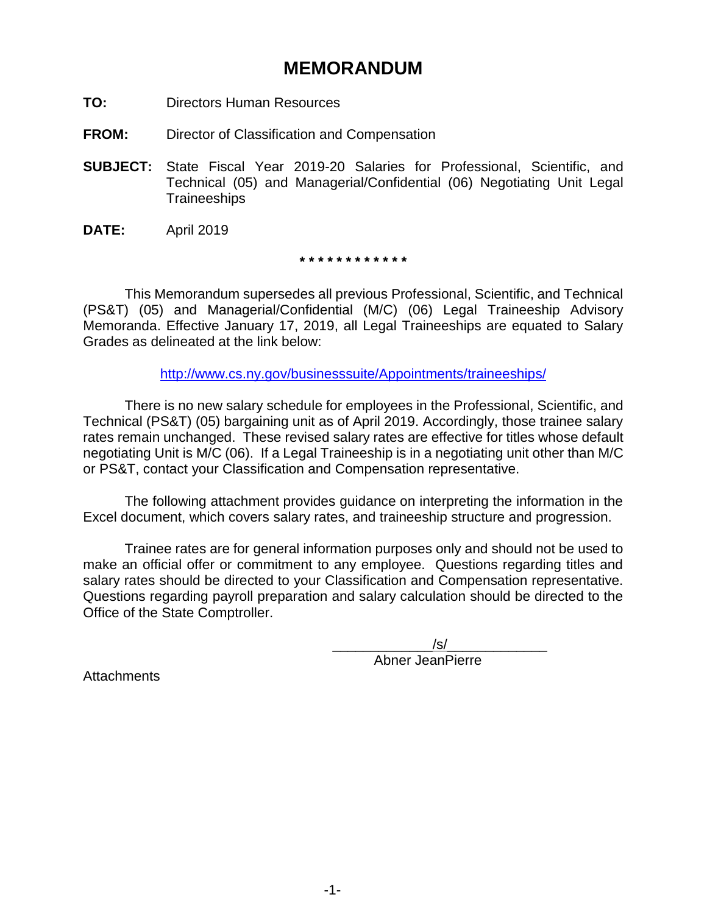# **MEMORANDUM**

- **TO:** Directors Human Resources
- **FROM:** Director of Classification and Compensation
- **SUBJECT:** State Fiscal Year 2019-20 Salaries for Professional, Scientific, and Technical (05) and Managerial/Confidential (06) Negotiating Unit Legal **Traineeships**
- **DATE:** April 2019

**\* \* \* \* \* \* \* \* \* \* \* \***

This Memorandum supersedes all previous Professional, Scientific, and Technical (PS&T) (05) and Managerial/Confidential (M/C) (06) Legal Traineeship Advisory Memoranda. Effective January 17, 2019, all Legal Traineeships are equated to Salary Grades as delineated at the link below:

[http://www.cs.ny.gov/businesssuite/Appointments/traineeships/](http://www.cs.ny.gov/businesssuite/Appointments/Traineeships/)

There is no new salary schedule for employees in the Professional, Scientific, and Technical (PS&T) (05) bargaining unit as of April 2019. Accordingly, those trainee salary rates remain unchanged. These revised salary rates are effective for titles whose default negotiating Unit is M/C (06). If a Legal Traineeship is in a negotiating unit other than M/C or PS&T, contact your Classification and Compensation representative.

The following attachment provides guidance on interpreting the information in the Excel document, which covers salary rates, and traineeship structure and progression.

Trainee rates are for general information purposes only and should not be used to make an official offer or commitment to any employee. Questions regarding titles and salary rates should be directed to your Classification and Compensation representative. Questions regarding payroll preparation and salary calculation should be directed to the Office of the State Comptroller.

 $/\mathsf{s}/\mathsf{s}$ 

Abner JeanPierre

**Attachments**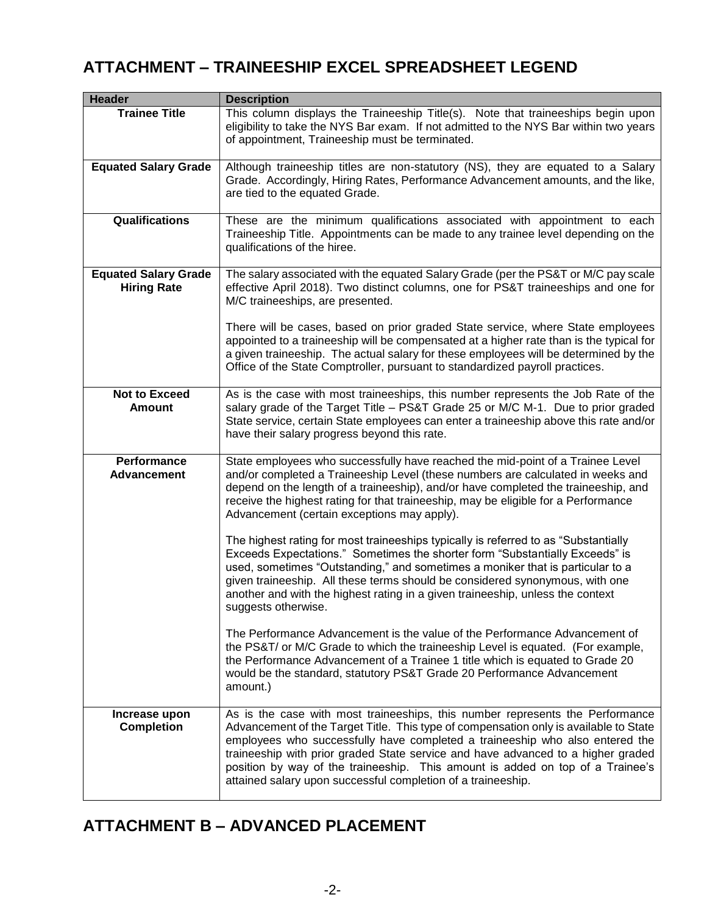## **ATTACHMENT – TRAINEESHIP EXCEL SPREADSHEET LEGEND**

| Header                                            | <b>Description</b>                                                                                                                                                                                                                                                                                                                                                                                                                                                                           |
|---------------------------------------------------|----------------------------------------------------------------------------------------------------------------------------------------------------------------------------------------------------------------------------------------------------------------------------------------------------------------------------------------------------------------------------------------------------------------------------------------------------------------------------------------------|
| <b>Trainee Title</b>                              | This column displays the Traineeship Title(s). Note that traineeships begin upon<br>eligibility to take the NYS Bar exam. If not admitted to the NYS Bar within two years<br>of appointment, Traineeship must be terminated.                                                                                                                                                                                                                                                                 |
| <b>Equated Salary Grade</b>                       | Although traineeship titles are non-statutory (NS), they are equated to a Salary<br>Grade. Accordingly, Hiring Rates, Performance Advancement amounts, and the like,<br>are tied to the equated Grade.                                                                                                                                                                                                                                                                                       |
| <b>Qualifications</b>                             | These are the minimum qualifications associated with appointment to each<br>Traineeship Title. Appointments can be made to any trainee level depending on the<br>qualifications of the hiree.                                                                                                                                                                                                                                                                                                |
| <b>Equated Salary Grade</b><br><b>Hiring Rate</b> | The salary associated with the equated Salary Grade (per the PS&T or M/C pay scale<br>effective April 2018). Two distinct columns, one for PS&T traineeships and one for<br>M/C traineeships, are presented.                                                                                                                                                                                                                                                                                 |
|                                                   | There will be cases, based on prior graded State service, where State employees<br>appointed to a traineeship will be compensated at a higher rate than is the typical for<br>a given traineeship. The actual salary for these employees will be determined by the<br>Office of the State Comptroller, pursuant to standardized payroll practices.                                                                                                                                           |
| <b>Not to Exceed</b><br><b>Amount</b>             | As is the case with most traineeships, this number represents the Job Rate of the<br>salary grade of the Target Title - PS&T Grade 25 or M/C M-1. Due to prior graded<br>State service, certain State employees can enter a traineeship above this rate and/or<br>have their salary progress beyond this rate.                                                                                                                                                                               |
| Performance<br><b>Advancement</b>                 | State employees who successfully have reached the mid-point of a Trainee Level<br>and/or completed a Traineeship Level (these numbers are calculated in weeks and<br>depend on the length of a traineeship), and/or have completed the traineeship, and<br>receive the highest rating for that traineeship, may be eligible for a Performance<br>Advancement (certain exceptions may apply).                                                                                                 |
|                                                   | The highest rating for most traineeships typically is referred to as "Substantially<br>Exceeds Expectations." Sometimes the shorter form "Substantially Exceeds" is<br>used, sometimes "Outstanding," and sometimes a moniker that is particular to a<br>given traineeship. All these terms should be considered synonymous, with one<br>another and with the highest rating in a given traineeship, unless the context<br>suggests otherwise.                                               |
|                                                   | The Performance Advancement is the value of the Performance Advancement of<br>the PS&T/ or M/C Grade to which the traineeship Level is equated. (For example,<br>the Performance Advancement of a Trainee 1 title which is equated to Grade 20<br>would be the standard, statutory PS&T Grade 20 Performance Advancement<br>amount.)                                                                                                                                                         |
| Increase upon<br><b>Completion</b>                | As is the case with most traineeships, this number represents the Performance<br>Advancement of the Target Title. This type of compensation only is available to State<br>employees who successfully have completed a traineeship who also entered the<br>traineeship with prior graded State service and have advanced to a higher graded<br>position by way of the traineeship. This amount is added on top of a Trainee's<br>attained salary upon successful completion of a traineeship. |

# **ATTACHMENT B – ADVANCED PLACEMENT**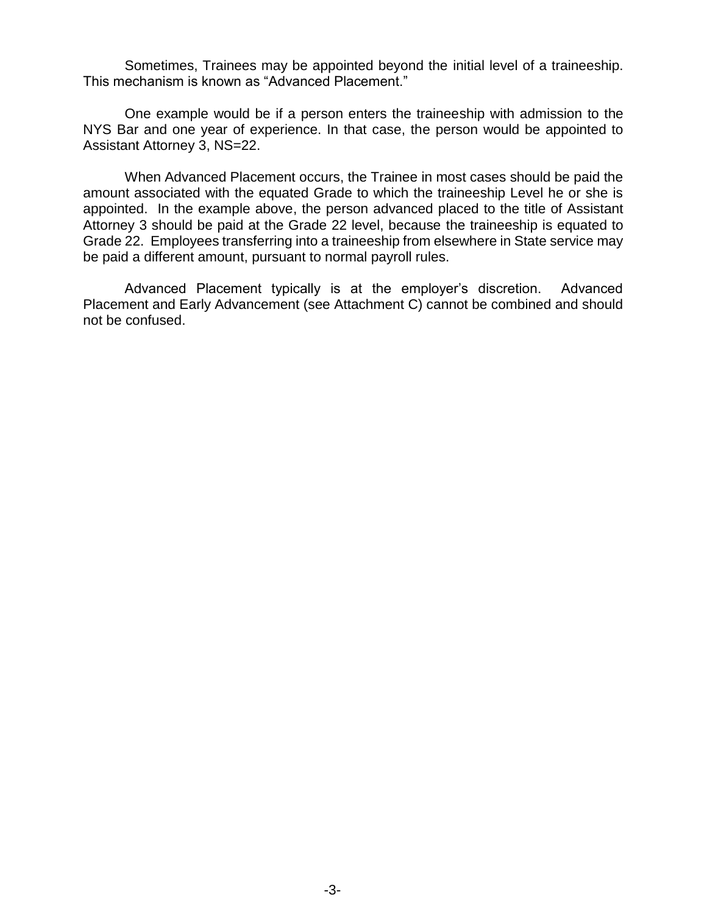Sometimes, Trainees may be appointed beyond the initial level of a traineeship. This mechanism is known as "Advanced Placement."

One example would be if a person enters the traineeship with admission to the NYS Bar and one year of experience. In that case, the person would be appointed to Assistant Attorney 3, NS=22.

When Advanced Placement occurs, the Trainee in most cases should be paid the amount associated with the equated Grade to which the traineeship Level he or she is appointed. In the example above, the person advanced placed to the title of Assistant Attorney 3 should be paid at the Grade 22 level, because the traineeship is equated to Grade 22. Employees transferring into a traineeship from elsewhere in State service may be paid a different amount, pursuant to normal payroll rules.

Advanced Placement typically is at the employer's discretion. Advanced Placement and Early Advancement (see Attachment C) cannot be combined and should not be confused.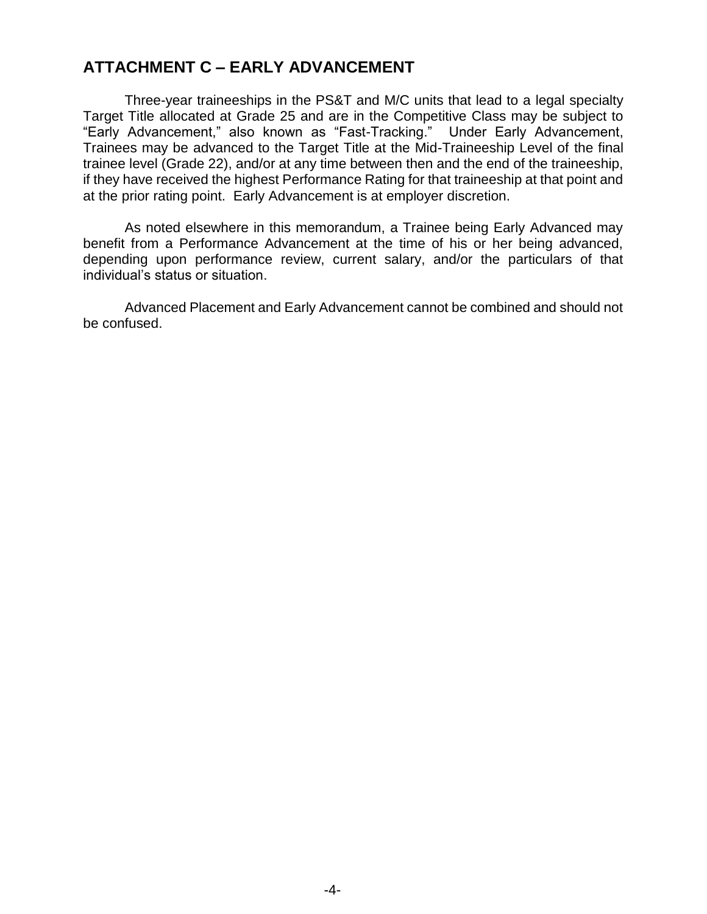## **ATTACHMENT C – EARLY ADVANCEMENT**

Three-year traineeships in the PS&T and M/C units that lead to a legal specialty Target Title allocated at Grade 25 and are in the Competitive Class may be subject to "Early Advancement," also known as "Fast-Tracking." Under Early Advancement, Trainees may be advanced to the Target Title at the Mid-Traineeship Level of the final trainee level (Grade 22), and/or at any time between then and the end of the traineeship, if they have received the highest Performance Rating for that traineeship at that point and at the prior rating point. Early Advancement is at employer discretion.

As noted elsewhere in this memorandum, a Trainee being Early Advanced may benefit from a Performance Advancement at the time of his or her being advanced, depending upon performance review, current salary, and/or the particulars of that individual's status or situation.

Advanced Placement and Early Advancement cannot be combined and should not be confused.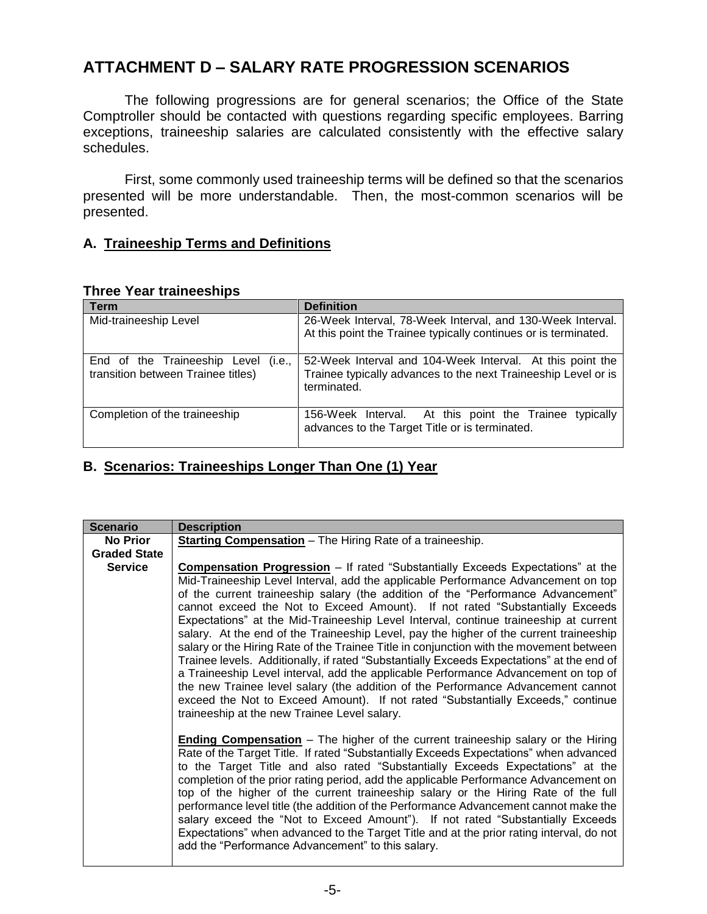## **ATTACHMENT D – SALARY RATE PROGRESSION SCENARIOS**

The following progressions are for general scenarios; the Office of the State Comptroller should be contacted with questions regarding specific employees. Barring exceptions, traineeship salaries are calculated consistently with the effective salary schedules.

First, some commonly used traineeship terms will be defined so that the scenarios presented will be more understandable. Then, the most-common scenarios will be presented.

### **A. Traineeship Terms and Definitions**

#### **Three Year traineeships**

| <b>Term</b>                                                               | <b>Definition</b>                                                                                                                          |
|---------------------------------------------------------------------------|--------------------------------------------------------------------------------------------------------------------------------------------|
| Mid-traineeship Level                                                     | 26-Week Interval, 78-Week Interval, and 130-Week Interval.<br>At this point the Trainee typically continues or is terminated.              |
| End of the Traineeship Level (i.e.,<br>transition between Trainee titles) | 52-Week Interval and 104-Week Interval. At this point the<br>Trainee typically advances to the next Traineeship Level or is<br>terminated. |
| Completion of the traineeship                                             | 156-Week Interval. At this point the Trainee<br>typically<br>advances to the Target Title or is terminated.                                |

### **B. Scenarios: Traineeships Longer Than One (1) Year**

| <b>Scenario</b>     | <b>Description</b>                                                                                                                                                                                                                                                                                                                                                                                                                                                                                                                                                                                                                                                                                                                                                                                                                                                                                                                                                                                                                       |
|---------------------|------------------------------------------------------------------------------------------------------------------------------------------------------------------------------------------------------------------------------------------------------------------------------------------------------------------------------------------------------------------------------------------------------------------------------------------------------------------------------------------------------------------------------------------------------------------------------------------------------------------------------------------------------------------------------------------------------------------------------------------------------------------------------------------------------------------------------------------------------------------------------------------------------------------------------------------------------------------------------------------------------------------------------------------|
| <b>No Prior</b>     | <b>Starting Compensation</b> - The Hiring Rate of a traineeship.                                                                                                                                                                                                                                                                                                                                                                                                                                                                                                                                                                                                                                                                                                                                                                                                                                                                                                                                                                         |
| <b>Graded State</b> |                                                                                                                                                                                                                                                                                                                                                                                                                                                                                                                                                                                                                                                                                                                                                                                                                                                                                                                                                                                                                                          |
| <b>Service</b>      | <b>Compensation Progression</b> – If rated "Substantially Exceeds Expectations" at the<br>Mid-Traineeship Level Interval, add the applicable Performance Advancement on top<br>of the current traineeship salary (the addition of the "Performance Advancement"<br>cannot exceed the Not to Exceed Amount). If not rated "Substantially Exceeds"<br>Expectations" at the Mid-Traineeship Level Interval, continue traineeship at current<br>salary. At the end of the Traineeship Level, pay the higher of the current traineeship<br>salary or the Hiring Rate of the Trainee Title in conjunction with the movement between<br>Trainee levels. Additionally, if rated "Substantially Exceeds Expectations" at the end of<br>a Traineeship Level interval, add the applicable Performance Advancement on top of<br>the new Trainee level salary (the addition of the Performance Advancement cannot<br>exceed the Not to Exceed Amount). If not rated "Substantially Exceeds," continue<br>traineeship at the new Trainee Level salary. |
|                     | <b>Ending Compensation</b> – The higher of the current traineeship salary or the Hiring<br>Rate of the Target Title. If rated "Substantially Exceeds Expectations" when advanced<br>to the Target Title and also rated "Substantially Exceeds Expectations" at the<br>completion of the prior rating period, add the applicable Performance Advancement on<br>top of the higher of the current traineeship salary or the Hiring Rate of the full<br>performance level title (the addition of the Performance Advancement cannot make the<br>salary exceed the "Not to Exceed Amount"). If not rated "Substantially Exceeds<br>Expectations" when advanced to the Target Title and at the prior rating interval, do not<br>add the "Performance Advancement" to this salary.                                                                                                                                                                                                                                                              |